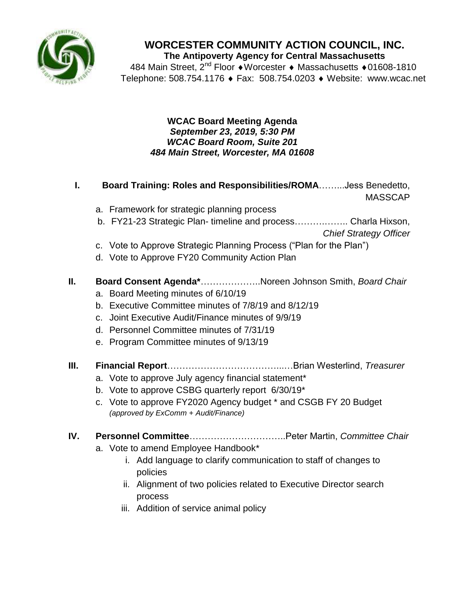

**WORCESTER COMMUNITY ACTION COUNCIL, INC. The Antipoverty Agency for Central Massachusetts**

484 Main Street, 2<sup>nd</sup> Floor ♦ Worcester ♦ Massachusetts ♦ 01608-1810 Telephone: 508.754.1176 ♦ Fax: 508.754.0203 ♦ Website: www.wcac.net

#### **WCAC Board Meeting Agenda** *September 23, 2019, 5:30 PM WCAC Board Room, Suite 201 484 Main Street, Worcester, MA 01608*

- **I. Board Training: Roles and Responsibilities/ROMA**……...Jess Benedetto, MASSCAP
	- a. Framework for strategic planning process
	- b. FY21-23 Strategic Plan- timeline and process……….…….. Charla Hixson,

*Chief Strategy Officer*

- c. Vote to Approve Strategic Planning Process ("Plan for the Plan")
- d. Vote to Approve FY20 Community Action Plan

## **II. Board Consent Agenda\***………………..Noreen Johnson Smith, *Board Chair*

- a. Board Meeting minutes of 6/10/19
- b. Executive Committee minutes of 7/8/19 and 8/12/19
- c. Joint Executive Audit/Finance minutes of 9/9/19
- d. Personnel Committee minutes of 7/31/19
- e. Program Committee minutes of 9/13/19
- **III. Financial Report**………………………………...…Brian Westerlind, *Treasurer* 
	- a. Vote to approve July agency financial statement\*
	- b. Vote to approve CSBG quarterly report 6/30/19\*
	- c. Vote to approve FY2020 Agency budget \* and CSGB FY 20 Budget *(approved by ExComm + Audit/Finance)*

# **IV. Personnel Committee**…………………………..Peter Martin, *Committee Chair*

- a. Vote to amend Employee Handbook\*
	- i. Add language to clarify communication to staff of changes to policies
	- ii. Alignment of two policies related to Executive Director search process
	- iii. Addition of service animal policy